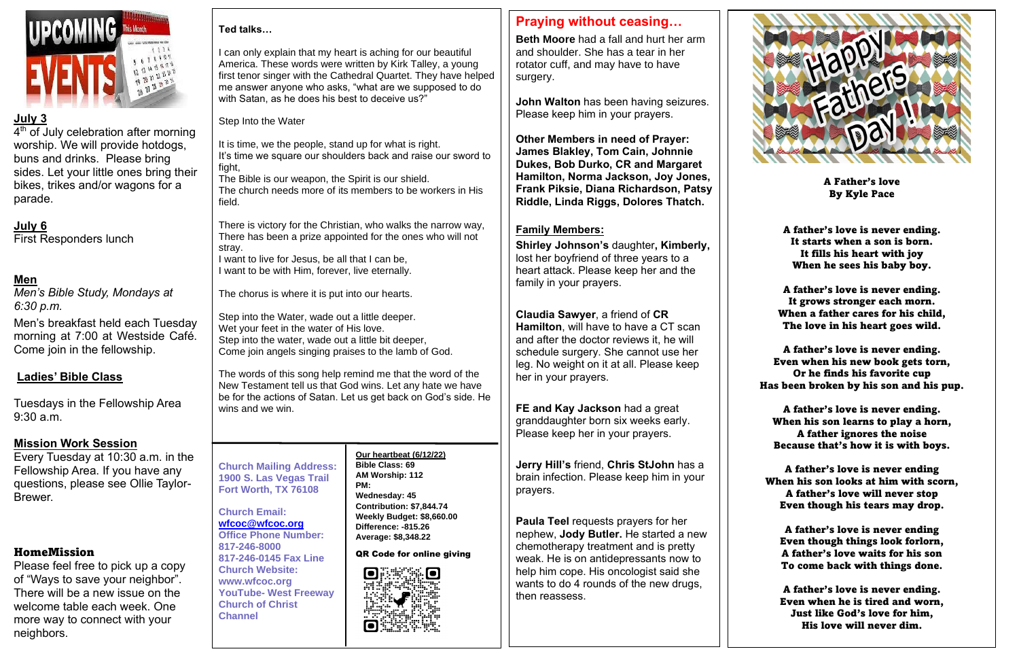

## **July 3**

4<sup>th</sup> of July celebration after morning worship. We will provide hotdogs, buns and drinks. Please bring sides. Let your little ones bring their bikes, trikes and/or wagons for a parade.

# **July 6**

First Responders lunch

## **Men**

*Men's Bible Study, Mondays at 6:30 p.m.*

Men's breakfast held each Tuesday morning at 7:00 at Westside Café. Come join in the fellowship.

## **Ladies' Bible Class**

Tuesdays in the Fellowship Area 9:30 a.m.

### **Mission Work Session**

Every Tuesday at 10:30 a.m. in the Fellowship Area. If you have any questions, please see Ollie Taylor-Brewer.

### HomeMission

It is time, we the people, stand up for what is right. It's time we square our shoulders back and raise our sword to fight,

Please feel free to pick up a copy of "Ways to save your neighbor". There will be a new issue on the welcome table each week. One more way to connect with your neighbors.

### **Ted talks…**

I can only explain that my heart is aching for our beautiful America. These words were written by Kirk Talley, a young first tenor singer with the Cathedral Quartet. They have helped me answer anyone who asks, "what are we supposed to do with Satan, as he does his best to deceive us?"

Step Into the Water

The Bible is our weapon, the Spirit is our shield.

The church needs more of its members to be workers in His field.

There is victory for the Christian, who walks the narrow way, There has been a prize appointed for the ones who will not stray.

I want to live for Jesus, be all that I can be, I want to be with Him, forever, live eternally.

The chorus is where it is put into our hearts.

Step into the Water, wade out a little deeper. Wet your feet in the water of His love. Step into the water, wade out a little bit deeper, Come join angels singing praises to the lamb of God.

The words of this song help remind me that the word of the New Testament tell us that God wins. Let any hate we have be for the actions of Satan. Let us get back on God's side. He wins and we win.

### **Church Mailing Address: 1900 S. Las Vegas Trail Fort Worth, TX 76108**

**Church Email:** 

**[wfcoc@wfcoc.org](mailto:wfcoc@wfcoc.org) Office Phone Number: 817-246-8000**

**817-246-0145 Fax Line Church Website: www.wfcoc.org YouTube- West Freeway Church of Christ Channel**

# **Praying without ceasing…**

**Beth Moore** had a fall and hurt her arm and shoulder. She has a tear in her rotator cuff, and may have to have surgery.

**John Walton** has been having seizures. Please keep him in your prayers.

**Other Members in need of Prayer: James Blakley, Tom Cain, Johnnie Dukes, Bob Durko, CR and Margaret Hamilton, Norma Jackson, Joy Jones, Frank Piksie, Diana Richardson, Patsy Riddle, Linda Riggs, Dolores Thatch.** 

## **Family Members:**

**Shirley Johnson's** daughter**, Kimberly,** lost her boyfriend of three years to a heart attack. Please keep her and the family in your prayers.

**Claudia Sawyer**, a friend of **CR Hamilton**, will have to have a CT scan and after the doctor reviews it, he will schedule surgery. She cannot use her leg. No weight on it at all. Please keep her in your prayers.

**FE and Kay Jackson** had a great granddaughter born six weeks early. Please keep her in your prayers.

**Jerry Hill's** friend, **Chris StJohn** has a brain infection. Please keep him in your prayers.

**Paula Teel** requests prayers for her nephew, **Jody Butler.** He started a new chemotherapy treatment and is pretty weak. He is on antidepressants now to help him cope. His oncologist said she wants to do 4 rounds of the new drugs, then reassess.



A Father's love By Kyle Pace

A father's love is never ending. It starts when a son is born. It fills his heart with joy When he sees his baby boy.

A father's love is never ending. It grows stronger each morn. When a father cares for his child, The love in his heart goes wild.

A father's love is never ending. Even when his new book gets torn, Or he finds his favorite cup Has been broken by his son and his pup.

A father's love is never ending. When his son learns to play a horn, A father ignores the noise Because that's how it is with boys.

A father's love is never ending When his son looks at him with scorn, A father's love will never stop Even though his tears may drop.

A father's love is never ending Even though things look forlorn, A father's love waits for his son To come back with things done.

A father's love is never ending. Even when he is tired and worn, Just like God's love for him, His love will never dim.

### **Our heartbeat (6/12/22) Bible Class: 69**

**AM Worship: 112 PM: Wednesday: 45 Contribution: \$7,844.74 Weekly Budget: \$8,660.00 Difference: -815.26 Average: \$8,348.22** 

QR Code for online giving